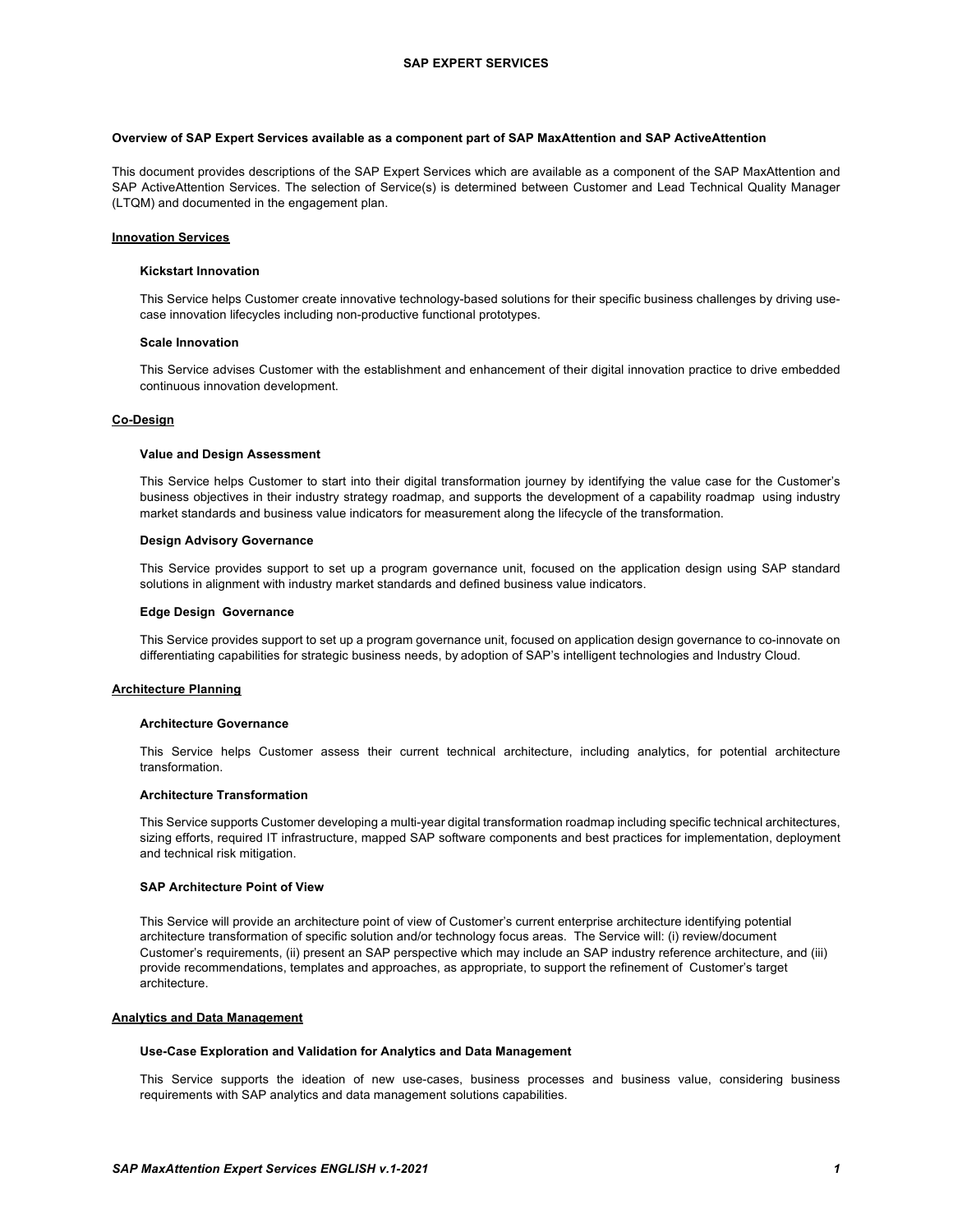### **Overview of SAP Expert Services available as a component part of SAP MaxAttention and SAP ActiveAttention**

This document provides descriptions of the SAP Expert Services which are available as a component of the SAP MaxAttention and SAP ActiveAttention Services. The selection of Service(s) is determined between Customer and Lead Technical Quality Manager (LTQM) and documented in the engagement plan.

#### **Innovation Services**

#### **Kickstart Innovation**

This Service helps Customer create innovative technology-based solutions for their specific business challenges by driving usecase innovation lifecycles including non-productive functional prototypes.

#### **Scale Innovation**

This Service advises Customer with the establishment and enhancement of their digital innovation practice to drive embedded continuous innovation development.

# **Co-Design**

#### **Value and Design Assessment**

This Service helps Customer to start into their digital transformation journey by identifying the value case for the Customer's business objectives in their industry strategy roadmap, and supports the development of a capability roadmap using industry market standards and business value indicators for measurement along the lifecycle of the transformation.

### **Design Advisory Governance**

This Service provides support to set up a program governance unit, focused on the application design using SAP standard solutions in alignment with industry market standards and defined business value indicators.

#### **Edge Design Governance**

This Service provides support to set up a program governance unit, focused on application design governance to co-innovate on differentiating capabilities for strategic business needs, by adoption of SAP's intelligent technologies and Industry Cloud.

#### **Architecture Planning**

#### **Architecture Governance**

This Service helps Customer assess their current technical architecture, including analytics, for potential architecture transformation.

## **Architecture Transformation**

This Service supports Customer developing a multi-year digital transformation roadmap including specific technical architectures, sizing efforts, required IT infrastructure, mapped SAP software components and best practices for implementation, deployment and technical risk mitigation.

### **SAP Architecture Point of View**

This Service will provide an architecture point of view of Customer's current enterprise architecture identifying potential architecture transformation of specific solution and/or technology focus areas. The Service will: (i) review/document Customer's requirements, (ii) present an SAP perspective which may include an SAP industry reference architecture, and (iii) provide recommendations, templates and approaches, as appropriate, to support the refinement of Customer's target .<br>architecture.

#### **Analytics and Data Management**

## **Use-Case Exploration and Validation for Analytics and Data Management**

This Service supports the ideation of new use-cases, business processes and business value, considering business requirements with SAP analytics and data management solutions capabilities.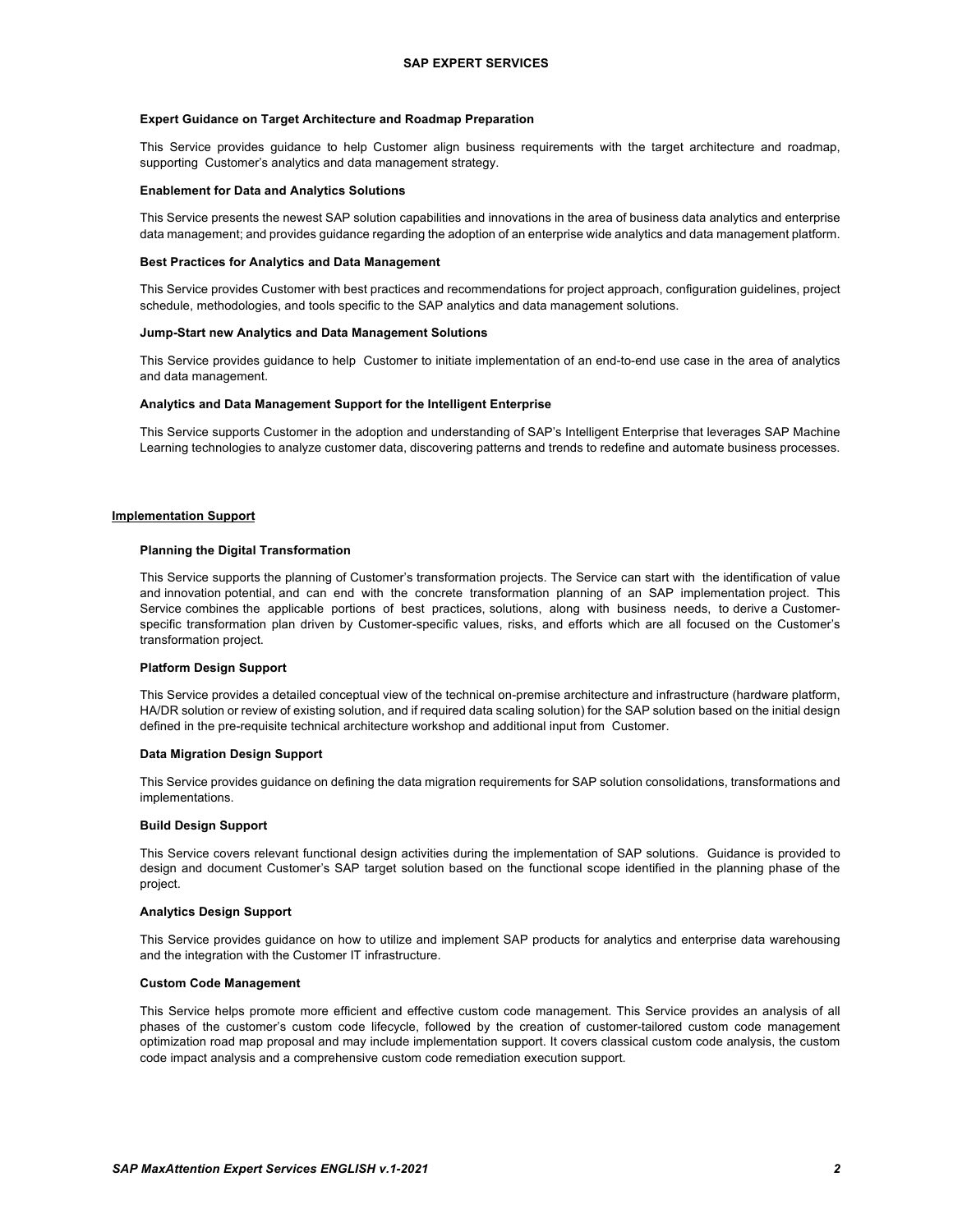### **Expert Guidance on Target Architecture and Roadmap Preparation**

This Service provides guidance to help Customer align business requirements with the target architecture and roadmap, supporting Customer's analytics and data management strategy.

#### **Enablement for Data and Analytics Solutions**

This Service presents the newest SAP solution capabilities and innovations in the area of business data analytics and enterprise data management; and provides guidance regarding the adoption of an enterprise wide analytics and data management platform.

#### **Best Practices for Analytics and Data Management**

This Service provides Customer with best practices and recommendations for project approach, configuration guidelines, project schedule, methodologies, and tools specific to the SAP analytics and data management solutions.

#### **Jump-Start new Analytics and Data Management Solutions**

This Service provides guidance to help Customer to initiate implementation of an end-to-end use case in the area of analytics and data management.

## **Analytics and Data Management Support for the Intelligent Enterprise**

This Service supports Customer in the adoption and understanding of SAP's Intelligent Enterprise that leverages SAP Machine Learning technologies to analyze customer data, discovering patterns and trends to redefine and automate business processes.

#### **Implementation Support**

### **Planning the Digital Transformation**

This Service supports the planning of Customer's transformation projects. The Service can start with the identification of value and innovation potential, and can end with the concrete transformation planning of an SAP implementation project. This Service combines the applicable portions of best practices, solutions, along with business needs, to derive a Customerspecific transformation plan driven by Customer-specific values, risks, and efforts which are all focused on the Customer's transformation project.

#### **Platform Design Support**

This Service provides a detailed conceptual view of the technical on-premise architecture and infrastructure (hardware platform, HA/DR solution or review of existing solution, and if required data scaling solution) for the SAP solution based on the initial design defined in the pre-requisite technical architecture workshop and additional input from Customer.

## **Data Migration Design Support**

This Service provides guidance on defining the data migration requirements for SAP solution consolidations, transformations and implementations.

#### **Build Design Support**

This Service covers relevant functional design activities during the implementation of SAP solutions. Guidance is provided to design and document Customer's SAP target solution based on the functional scope identified in the planning phase of the project.

#### **Analytics Design Support**

This Service provides guidance on how to utilize and implement SAP products for analytics and enterprise data warehousing and the integration with the Customer IT infrastructure.

### **Custom Code Management**

This Service helps promote more efficient and effective custom code management. This Service provides an analysis of all phases of the customer's custom code lifecycle, followed by the creation of customer-tailored custom code management optimization road map proposal and may include implementation support. It covers classical custom code analysis, the custom code impact analysis and a comprehensive custom code remediation execution support.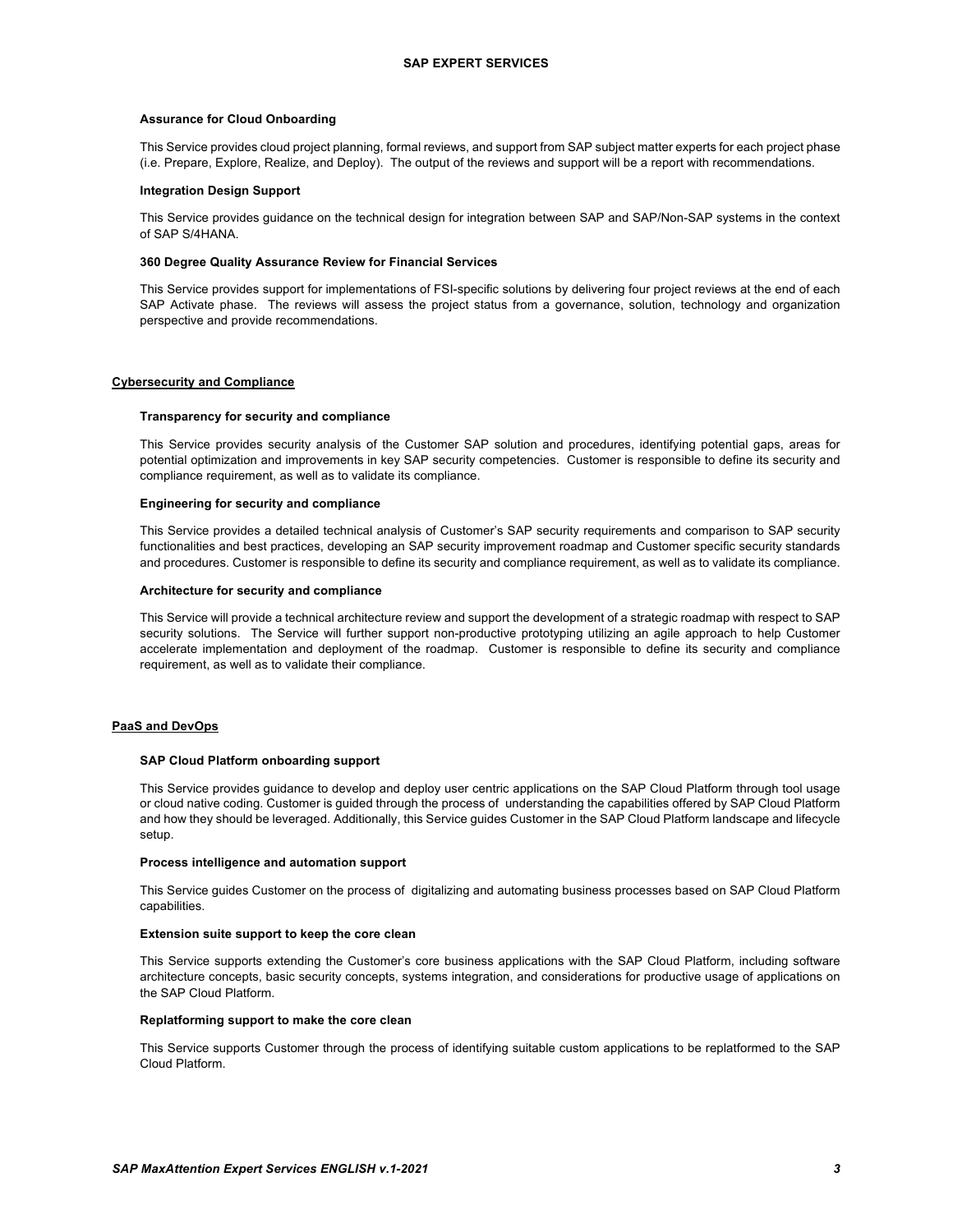#### **Assurance for Cloud Onboarding**

This Service provides cloud project planning, formal reviews, and support from SAP subject matter experts for each project phase (i.e. Prepare, Explore, Realize, and Deploy). The output of the reviews and support will be a report with recommendations.

#### **Integration Design Support**

This Service provides guidance on the technical design for integration between SAP and SAP/Non-SAP systems in the context of SAP S/4HANA.

#### **360 Degree Quality Assurance Review for Financial Services**

This Service provides support for implementations of FSI-specific solutions by delivering four project reviews at the end of each SAP Activate phase. The reviews will assess the project status from a governance, solution, technology and organization perspective and provide recommendations.

# **Cybersecurity and Compliance**

#### **Transparency for security and compliance**

This Service provides security analysis of the Customer SAP solution and procedures, identifying potential gaps, areas for potential optimization and improvements in key SAP security competencies. Customer is responsible to define its security and compliance requirement, as well as to validate its compliance.

#### **Engineering for security and compliance**

This Service provides a detailed technical analysis of Customer's SAP security requirements and comparison to SAP security functionalities and best practices, developing an SAP security improvement roadmap and Customer specific security standards and procedures. Customer is responsible to define its security and compliance requirement, as well as to validate its compliance.

### **Architecture for security and compliance**

This Service will provide a technical architecture review and support the development of a strategic roadmap with respect to SAP security solutions. The Service will further support non-productive prototyping utilizing an agile approach to help Customer accelerate implementation and deployment of the roadmap. Customer is responsible to define its security and compliance requirement, as well as to validate their compliance.

#### **PaaS and DevOps**

#### **SAP Cloud Platform onboarding support**

This Service provides guidance to develop and deploy user centric applications on the SAP Cloud Platform through tool usage or cloud native coding. Customer is guided through the process of understanding the capabilities offered by SAP Cloud Platform and how they should be leveraged. Additionally, this Service guides Customer in the SAP Cloud Platform landscape and lifecycle setup.

## **Process intelligence and automation support**

This Service guides Customer on the process of digitalizing and automating business processes based on SAP Cloud Platform capabilities.

#### **Extension suite support to keep the core clean**

This Service supports extending the Customer's core business applications with the SAP Cloud Platform, including software architecture concepts, basic security concepts, systems integration, and considerations for productive usage of applications on the SAP Cloud Platform.

### **Replatforming support to make the core clean**

This Service supports Customer through the process of identifying suitable custom applications to be replatformed to the SAP Cloud Platform.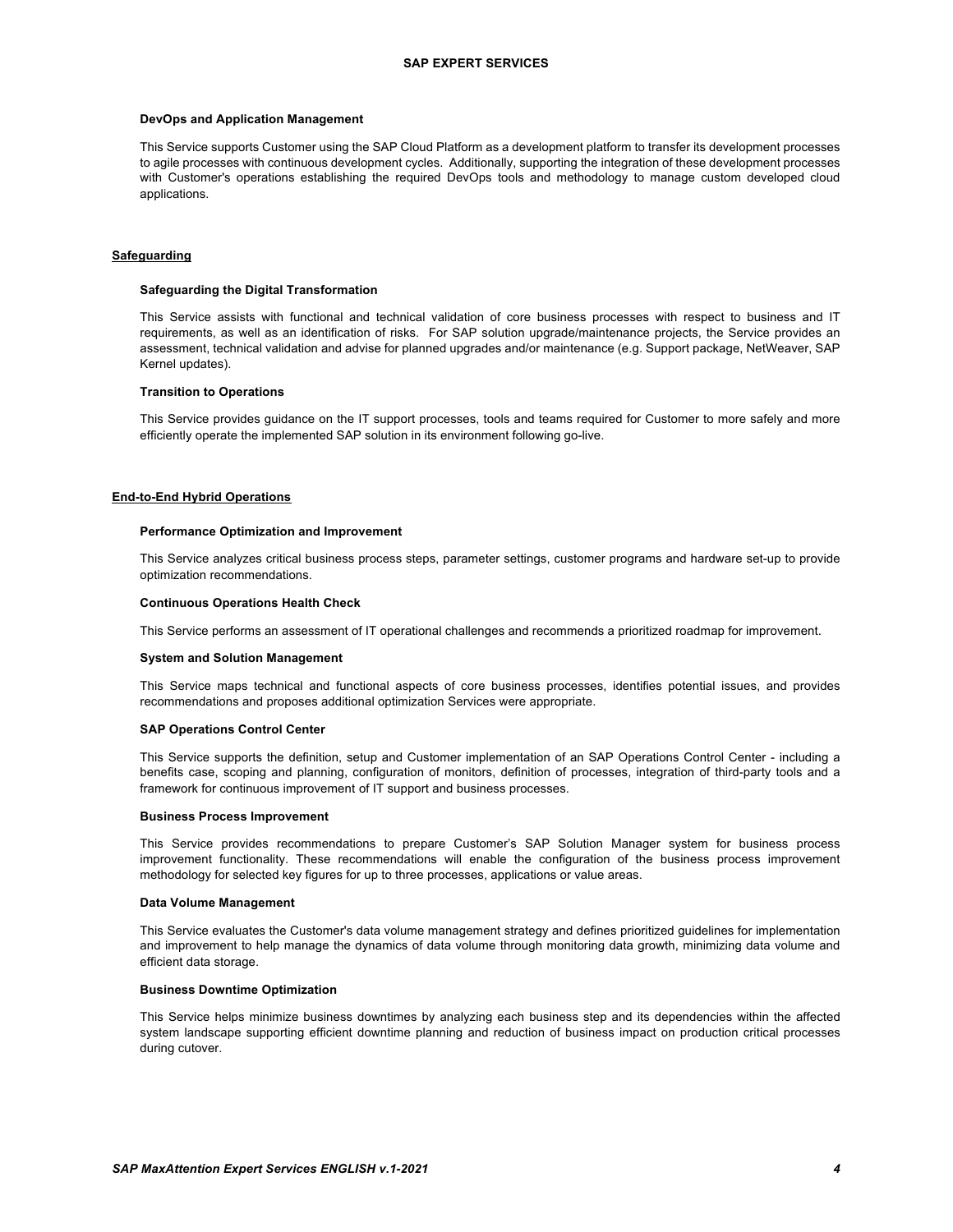#### **DevOps and Application Management**

This Service supports Customer using the SAP Cloud Platform as a development platform to transfer its development processes to agile processes with continuous development cycles. Additionally, supporting the integration of these development processes with Customer's operations establishing the required DevOps tools and methodology to manage custom developed cloud applications.

## **Safeguarding**

#### **Safeguarding the Digital Transformation**

This Service assists with functional and technical validation of core business processes with respect to business and IT requirements, as well as an identification of risks. For SAP solution upgrade/maintenance projects, the Service provides an assessment, technical validation and advise for planned upgrades and/or maintenance (e.g. Support package, NetWeaver, SAP Kernel updates).

#### **Transition to Operations**

This Service provides guidance on the IT support processes, tools and teams required for Customer to more safely and more efficiently operate the implemented SAP solution in its environment following go-live.

## **End-to-End Hybrid Operations**

#### **Performance Optimization and Improvement**

This Service analyzes critical business process steps, parameter settings, customer programs and hardware set-up to provide optimization recommendations.

#### **Continuous Operations Health Check**

This Service performs an assessment of IT operational challenges and recommends a prioritized roadmap for improvement.

#### **System and Solution Management**

This Service maps technical and functional aspects of core business processes, identifies potential issues, and provides recommendations and proposes additional optimization Services were appropriate.

#### **SAP Operations Control Center**

This Service supports the definition, setup and Customer implementation of an SAP Operations Control Center - including a benefits case, scoping and planning, configuration of monitors, definition of processes, integration of third-party tools and a framework for continuous improvement of IT support and business processes.

#### **Business Process Improvement**

This Service provides recommendations to prepare Customer's SAP Solution Manager system for business process improvement functionality. These recommendations will enable the configuration of the business process improvement methodology for selected key figures for up to three processes, applications or value areas.

#### **Data Volume Management**

This Service evaluates the Customer's data volume management strategy and defines prioritized guidelines for implementation and improvement to help manage the dynamics of data volume through monitoring data growth, minimizing data volume and efficient data storage.

## **Business Downtime Optimization**

This Service helps minimize business downtimes by analyzing each business step and its dependencies within the affected system landscape supporting efficient downtime planning and reduction of business impact on production critical processes during cutover.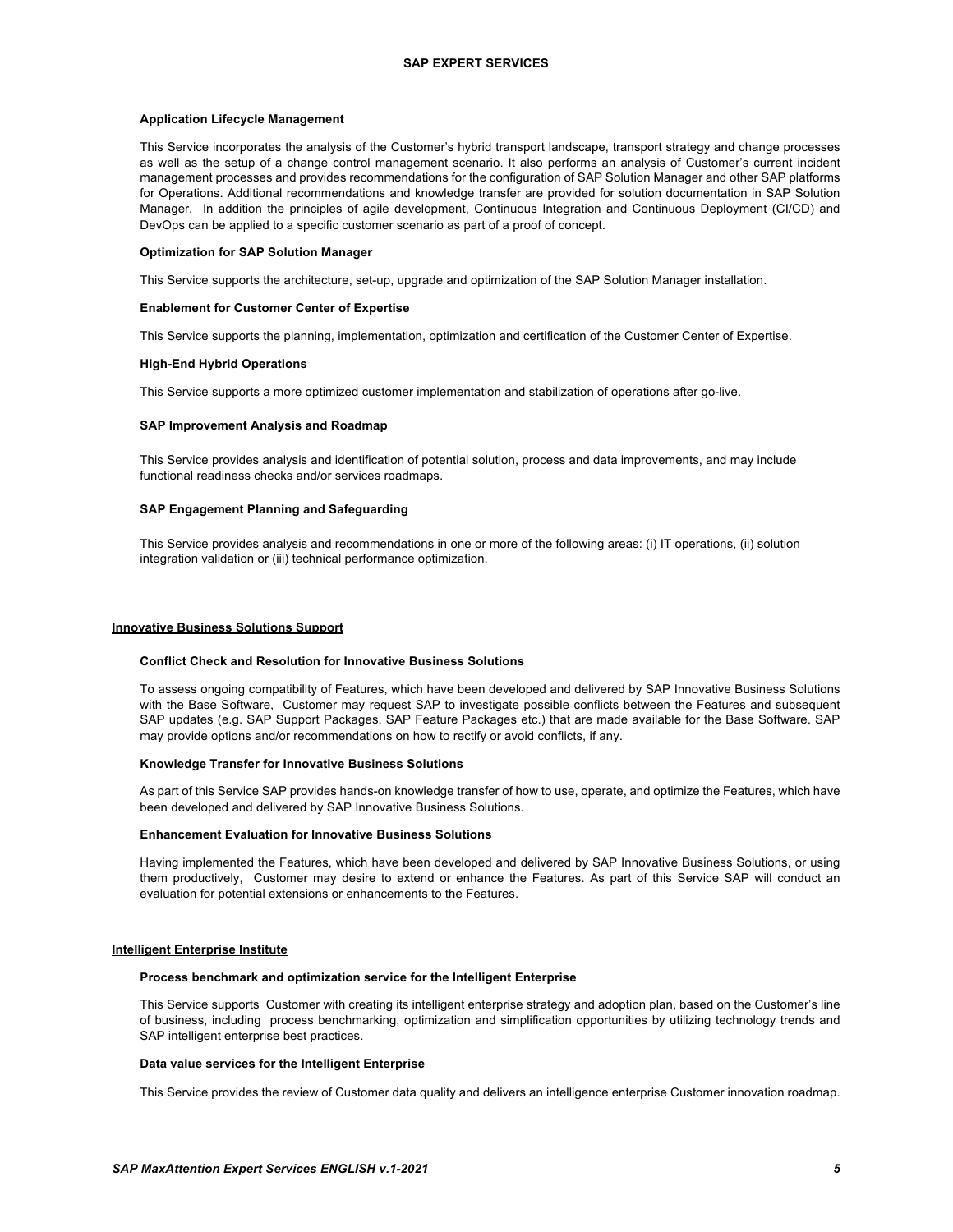### **Application Lifecycle Management**

This Service incorporates the analysis of the Customer's hybrid transport landscape, transport strategy and change processes as well as the setup of a change control management scenario. It also performs an analysis of Customer's current incident management processes and provides recommendations for the configuration of SAP Solution Manager and other SAP platforms for Operations. Additional recommendations and knowledge transfer are provided for solution documentation in SAP Solution Manager. In addition the principles of agile development, Continuous Integration and Continuous Deployment (CI/CD) and DevOps can be applied to a specific customer scenario as part of a proof of concept.

#### **Optimization for SAP Solution Manager**

This Service supports the architecture, set-up, upgrade and optimization of the SAP Solution Manager installation.

#### **Enablement for Customer Center of Expertise**

This Service supports the planning, implementation, optimization and certification of the Customer Center of Expertise.

## **High-End Hybrid Operations**

This Service supports a more optimized customer implementation and stabilization of operations after go-live.

#### **SAP Improvement Analysis and Roadmap**

This Service provides analysis and identification of potential solution, process and data improvements, and may include functional readiness checks and/or services roadmaps.

## **SAP Engagement Planning and Safeguarding**

This Service provides analysis and recommendations in one or more of the following areas: (i) IT operations, (ii) solution integration validation or (iii) technical performance optimization.

## **Innovative Business Solutions Support**

#### **Conflict Check and Resolution for Innovative Business Solutions**

To assess ongoing compatibility of Features, which have been developed and delivered by SAP Innovative Business Solutions with the Base Software, Customer may request SAP to investigate possible conflicts between the Features and subsequent SAP updates (e.g. SAP Support Packages, SAP Feature Packages etc.) that are made available for the Base Software. SAP may provide options and/or recommendations on how to rectify or avoid conflicts, if any.

#### **Knowledge Transfer for Innovative Business Solutions**

As part of this Service SAP provides hands-on knowledge transfer of how to use, operate, and optimize the Features, which have been developed and delivered by SAP Innovative Business Solutions.

#### **Enhancement Evaluation for Innovative Business Solutions**

Having implemented the Features, which have been developed and delivered by SAP Innovative Business Solutions, or using them productively, Customer may desire to extend or enhance the Features. As part of this Service SAP will conduct an evaluation for potential extensions or enhancements to the Features.

## **Intelligent Enterprise Institute**

#### **Process benchmark and optimization service for the Intelligent Enterprise**

This Service supports Customer with creating its intelligent enterprise strategy and adoption plan, based on the Customer's line of business, including process benchmarking, optimization and simplification opportunities by utilizing technology trends and SAP intelligent enterprise best practices.

#### **Data value services for the Intelligent Enterprise**

This Service provides the review of Customer data quality and delivers an intelligence enterprise Customer innovation roadmap.